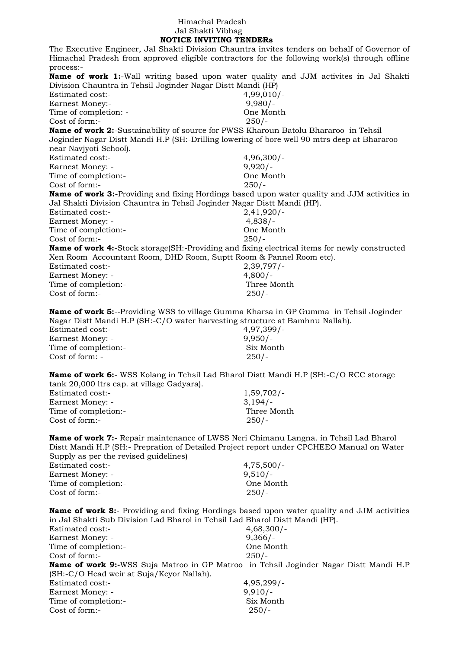## Himachal Pradesh Jal Shakti Vibhag  **NOTICE INVITING TENDERs**

The Executive Engineer, Jal Shakti Division Chauntra invites tenders on behalf of Governor of Himachal Pradesh from approved eligible contractors for the following work(s) through offline process:- **Name of work 1:**-Wall writing based upon water quality and JJM activites in Jal Shakti Division Chauntra in Tehsil Joginder Nagar Distt Mandi (HP) Estimated cost:- 4,99,010/-Earnest Money:- 9,980/-Time of completion: - One Month Cost of form:- 250/- **Name of work 2:**-Sustainability of source for PWSS Kharoun Batolu Bhararoo in Tehsil Joginder Nagar Distt Mandi H.P (SH:-Drilling lowering of bore well 90 mtrs deep at Bhararoo near Navjyoti School). Estimated cost:- 4,96,300/- Earnest Money: - 9,920/-Time of completion:- One Month Cost of form:- 250/- **Name of work 3:**-Providing and fixing Hordings based upon water quality and JJM activities in Jal Shakti Division Chauntra in Tehsil Joginder Nagar Distt Mandi (HP). Estimated cost:- 2,41,920/- Earnest Money: - 4,838/-Time of completion:- One Month Cost of form:- 250/- **Name of work 4:**-Stock storage(SH:-Providing and fixing electrical items for newly constructed Xen Room Accountant Room, DHD Room, Suptt Room & Pannel Room etc). Estimated cost:- 2,39,797/- Earnest Money: - 4,800/-Time of completion:- Three Month Cost of form:- 250/- **Name of work 5:**--Providing WSS to village Gumma Kharsa in GP Gumma in Tehsil Joginder Nagar Distt Mandi H.P (SH:-C/O water harvesting structure at Bamhnu Nallah). Estimated cost:- 4,97,399/- Earnest Money: - 9,950/-Time of completion:- Six Month Cost of form: - 250/- **Name of work 6:**- WSS Kolang in Tehsil Lad Bharol Distt Mandi H.P (SH:-C/O RCC storage tank 20,000 ltrs cap. at village Gadyara). Estimated cost:- 1,59,702/- Earnest Money: - 3,194/-Time of completion:- Three Month Cost of form:- 250/-

**Name of work 7:**- Repair maintenance of LWSS Neri Chimanu Langna. in Tehsil Lad Bharol Distt Mandi H.P (SH:- Prepration of Detailed Project report under CPCHEEO Manual on Water Supply as per the revised guidelines)

| Estimated cost:-     | $4,75,500/-$ |
|----------------------|--------------|
| Earnest Money: -     | $9,510/-$    |
| Time of completion:- | One Month    |
| Cost of form:-       | $250/-$      |
|                      |              |

**Name of work 8:**- Providing and fixing Hordings based upon water quality and JJM activities in Jal Shakti Sub Division Lad Bharol in Tehsil Lad Bharol Distt Mandi (HP).

| <b>Estimated cost:-</b>                                                                       | $4,68,300/-$ |
|-----------------------------------------------------------------------------------------------|--------------|
| Earnest Money: -                                                                              | $9,366/-$    |
| Time of completion:-                                                                          | One Month    |
| Cost of form:-                                                                                | $250/-$      |
| <b>Name of work 9:-</b> WSS Suja Matroo in GP Matroo in Tehsil Joginder Nagar Distt Mandi H.P |              |
| (SH:-C/O Head weir at Suja/Keyor Nallah).                                                     |              |
| Estimated cost:-                                                                              | 4,95,299/    |
| Earnest Money: -                                                                              | $9,910/-$    |
| Time of completion:-                                                                          | Six Month    |
| Cost of form:-                                                                                | $250/-$      |